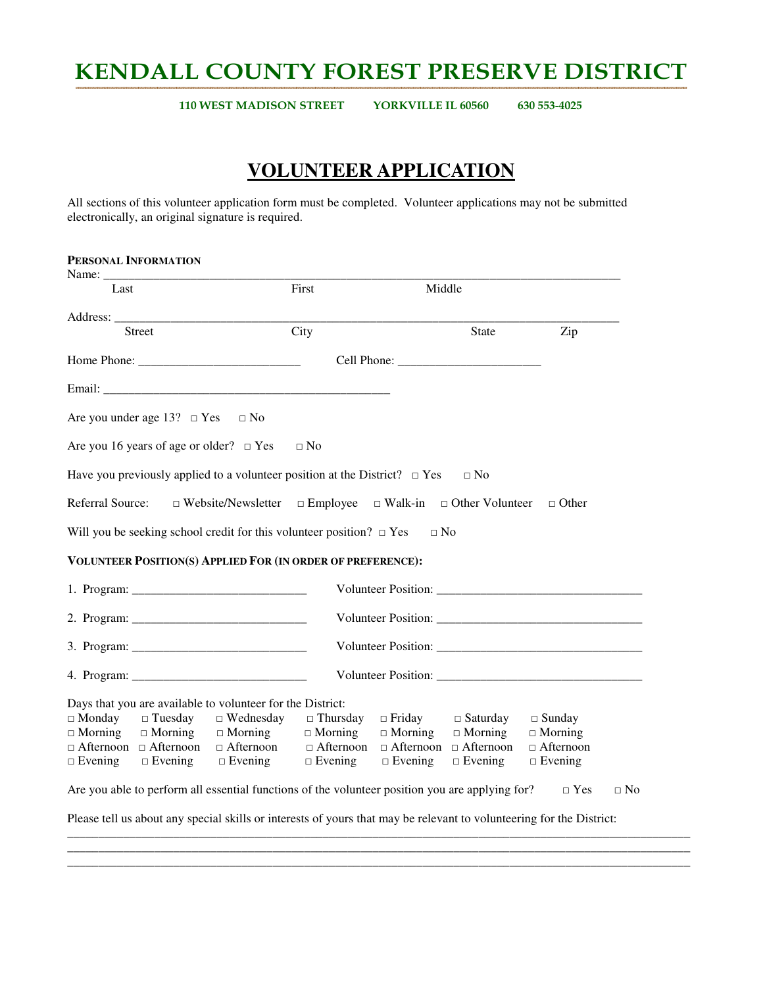# KENDALL COUNTY FOREST PRESERVE DISTRICT

110 WEST MADISON STREET YORKVILLE IL 60560 630 553-4025

## **VOLUNTEER APPLICATION**

All sections of this volunteer application form must be completed. Volunteer applications may not be submitted electronically, an original signature is required.

| PERSONAL INFORMATION<br>Name: $\frac{1}{\sqrt{1-\frac{1}{2}}\cdot\sqrt{1-\frac{1}{2}}\cdot\sqrt{1-\frac{1}{2}}\cdot\sqrt{1-\frac{1}{2}}\cdot\sqrt{1-\frac{1}{2}}\cdot\sqrt{1-\frac{1}{2}}\cdot\sqrt{1-\frac{1}{2}}\cdot\sqrt{1-\frac{1}{2}}\cdot\sqrt{1-\frac{1}{2}}\cdot\sqrt{1-\frac{1}{2}}\cdot\sqrt{1-\frac{1}{2}}\cdot\sqrt{1-\frac{1}{2}}\cdot\sqrt{1-\frac{1}{2}}\cdot\sqrt{1-\frac{1}{2}}\cdot\sqrt{1-\frac{1}{2}}\cdot\sqrt{1-\frac{1}{2}}\cdot\$ |                                              |                                                                                                                      |                  |                |                                   |                  |           |
|------------------------------------------------------------------------------------------------------------------------------------------------------------------------------------------------------------------------------------------------------------------------------------------------------------------------------------------------------------------------------------------------------------------------------------------------------------|----------------------------------------------|----------------------------------------------------------------------------------------------------------------------|------------------|----------------|-----------------------------------|------------------|-----------|
| Last                                                                                                                                                                                                                                                                                                                                                                                                                                                       |                                              |                                                                                                                      | First            | Middle         |                                   |                  |           |
|                                                                                                                                                                                                                                                                                                                                                                                                                                                            |                                              |                                                                                                                      |                  |                |                                   |                  |           |
|                                                                                                                                                                                                                                                                                                                                                                                                                                                            | <b>Street</b>                                |                                                                                                                      | City             |                | State                             | Zip              |           |
|                                                                                                                                                                                                                                                                                                                                                                                                                                                            |                                              |                                                                                                                      |                  |                |                                   |                  |           |
|                                                                                                                                                                                                                                                                                                                                                                                                                                                            |                                              |                                                                                                                      |                  |                |                                   |                  |           |
|                                                                                                                                                                                                                                                                                                                                                                                                                                                            | Are you under age 13? $\Box$ Yes             | $\Box$ No                                                                                                            |                  |                |                                   |                  |           |
|                                                                                                                                                                                                                                                                                                                                                                                                                                                            | Are you 16 years of age or older? $\Box$ Yes |                                                                                                                      | $\Box$ No        |                |                                   |                  |           |
|                                                                                                                                                                                                                                                                                                                                                                                                                                                            |                                              | Have you previously applied to a volunteer position at the District? $\Box$ Yes $\Box$ No                            |                  |                |                                   |                  |           |
| Referral Source:                                                                                                                                                                                                                                                                                                                                                                                                                                           |                                              | $\Box$ Website/Newsletter $\Box$ Employee $\Box$ Walk-in $\Box$ Other Volunteer                                      |                  |                |                                   | $\Box$ Other     |           |
|                                                                                                                                                                                                                                                                                                                                                                                                                                                            |                                              | Will you be seeking school credit for this volunteer position? $\Box$ Yes                                            |                  | $\Box$ No      |                                   |                  |           |
|                                                                                                                                                                                                                                                                                                                                                                                                                                                            |                                              | VOLUNTEER POSITION(S) APPLIED FOR (IN ORDER OF PREFERENCE):                                                          |                  |                |                                   |                  |           |
|                                                                                                                                                                                                                                                                                                                                                                                                                                                            |                                              |                                                                                                                      |                  |                |                                   |                  |           |
|                                                                                                                                                                                                                                                                                                                                                                                                                                                            |                                              |                                                                                                                      |                  |                |                                   |                  |           |
|                                                                                                                                                                                                                                                                                                                                                                                                                                                            |                                              |                                                                                                                      |                  |                |                                   |                  |           |
|                                                                                                                                                                                                                                                                                                                                                                                                                                                            |                                              |                                                                                                                      |                  |                |                                   |                  |           |
|                                                                                                                                                                                                                                                                                                                                                                                                                                                            |                                              | Days that you are available to volunteer for the District:                                                           |                  |                |                                   |                  |           |
| $\Box$ Monday                                                                                                                                                                                                                                                                                                                                                                                                                                              | $\Box$ Tuesday                               | $\Box$ Wednesday                                                                                                     | $\Box$ Thursday  | $\Box$ Friday  | $\Box$ Saturday                   | $\Box$ Sunday    |           |
| $\Box$ Morning                                                                                                                                                                                                                                                                                                                                                                                                                                             | $\Box$ Morning                               | $\Box$ Morning                                                                                                       | $\Box$ Morning   | $\Box$ Morning | $\Box$ Morning                    | $\Box$ Morning   |           |
|                                                                                                                                                                                                                                                                                                                                                                                                                                                            | $\Box$ Afternoon $\Box$ Afternoon            | $\Box$ Afternoon                                                                                                     | $\Box$ Afternoon |                | $\Box$ Afternoon $\Box$ Afternoon | $\Box$ Afternoon |           |
| $\Box$ Evening                                                                                                                                                                                                                                                                                                                                                                                                                                             | $\Box$ Evening                               | $\Box$ Evening                                                                                                       | $\Box$ Evening   | $\Box$ Evening | $\Box$ Evening                    | $\Box$ Evening   |           |
|                                                                                                                                                                                                                                                                                                                                                                                                                                                            |                                              | Are you able to perform all essential functions of the volunteer position you are applying for?                      |                  |                |                                   | $\Box$ Yes       | $\Box$ No |
|                                                                                                                                                                                                                                                                                                                                                                                                                                                            |                                              | Please tell us about any special skills or interests of yours that may be relevant to volunteering for the District: |                  |                |                                   |                  |           |
|                                                                                                                                                                                                                                                                                                                                                                                                                                                            |                                              |                                                                                                                      |                  |                |                                   |                  |           |

\_\_\_\_\_\_\_\_\_\_\_\_\_\_\_\_\_\_\_\_\_\_\_\_\_\_\_\_\_\_\_\_\_\_\_\_\_\_\_\_\_\_\_\_\_\_\_\_\_\_\_\_\_\_\_\_\_\_\_\_\_\_\_\_\_\_\_\_\_\_\_\_\_\_\_\_\_\_\_\_\_\_\_\_\_\_\_\_\_\_\_\_\_\_\_\_\_\_\_\_ \_\_\_\_\_\_\_\_\_\_\_\_\_\_\_\_\_\_\_\_\_\_\_\_\_\_\_\_\_\_\_\_\_\_\_\_\_\_\_\_\_\_\_\_\_\_\_\_\_\_\_\_\_\_\_\_\_\_\_\_\_\_\_\_\_\_\_\_\_\_\_\_\_\_\_\_\_\_\_\_\_\_\_\_\_\_\_\_\_\_\_\_\_\_\_\_\_\_\_\_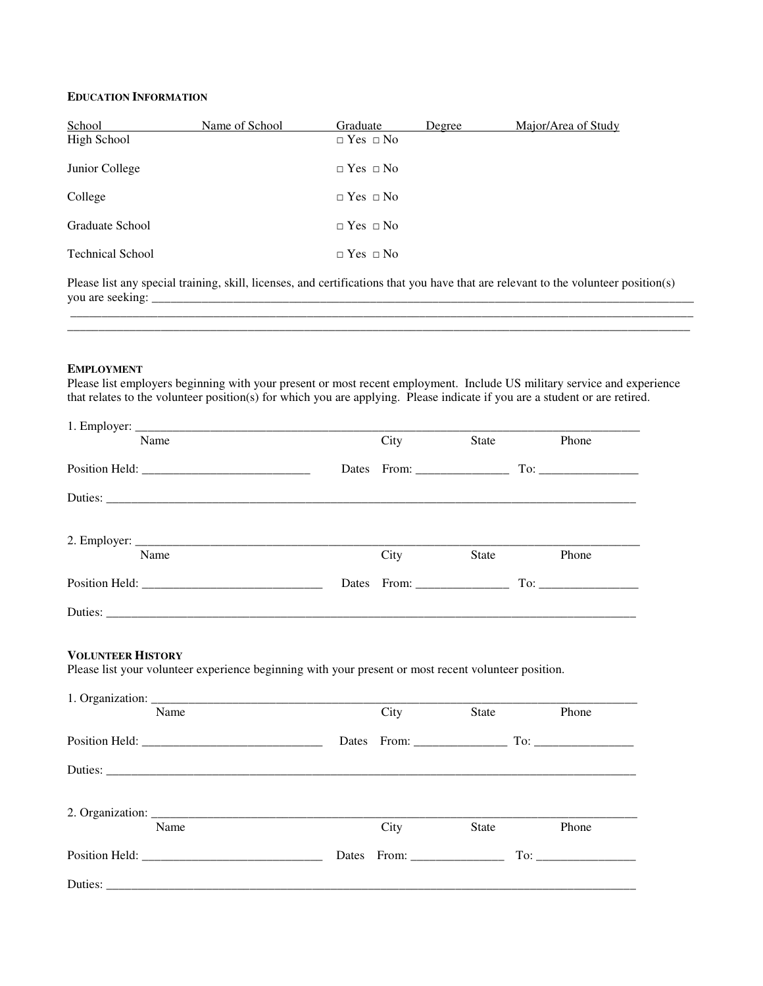### **EDUCATION INFORMATION**

| School                  | Name of School | Graduate             | Degree | Major/Area of Study |
|-------------------------|----------------|----------------------|--------|---------------------|
| High School             |                | $\Box$ Yes $\Box$ No |        |                     |
| Junior College          |                | $\Box$ Yes $\Box$ No |        |                     |
| College                 |                | $\Box$ Yes $\Box$ No |        |                     |
| Graduate School         |                | $\Box$ Yes $\Box$ No |        |                     |
| <b>Technical School</b> |                | $\Box$ Yes $\Box$ No |        |                     |

Please list any special training, skill, licenses, and certifications that you have that are relevant to the volunteer position(s) you are seeking: \_\_\_\_\_\_\_\_\_\_\_\_\_\_\_\_\_\_\_\_\_\_\_\_\_\_\_\_\_\_\_\_\_\_\_\_\_\_\_\_\_\_\_\_\_\_\_\_\_\_\_\_\_\_\_\_\_\_\_\_\_\_\_\_\_\_\_\_\_\_\_\_\_\_\_\_\_\_\_\_\_\_\_\_\_\_\_

 $\mathcal{L}_\text{max}$  and the contribution of the contribution of the contribution of the contribution of the contribution of the contribution of the contribution of the contribution of the contribution of the contribution of the

\_\_\_\_\_\_\_\_\_\_\_\_\_\_\_\_\_\_\_\_\_\_\_\_\_\_\_\_\_\_\_\_\_\_\_\_\_\_\_\_\_\_\_\_\_\_\_\_\_\_\_\_\_\_\_\_\_\_\_\_\_\_\_\_\_\_\_\_\_\_\_\_\_\_\_\_\_\_\_\_\_\_\_\_\_\_\_\_\_\_\_\_\_\_\_\_\_\_\_\_

#### **EMPLOYMENT**

Please list employers beginning with your present or most recent employment. Include US military service and experience that relates to the volunteer position(s) for which you are applying. Please indicate if you are a student or are retired.

| Name | City | State | Phone |
|------|------|-------|-------|
|      |      |       |       |
|      |      |       |       |
|      |      |       |       |
| Name | City | State | Phone |
|      |      |       |       |
|      |      |       |       |
| Name | City | State | Phone |
|      |      |       |       |
|      |      |       |       |
|      |      |       |       |
|      |      |       |       |
| Name | City | State | Phone |
|      |      |       |       |